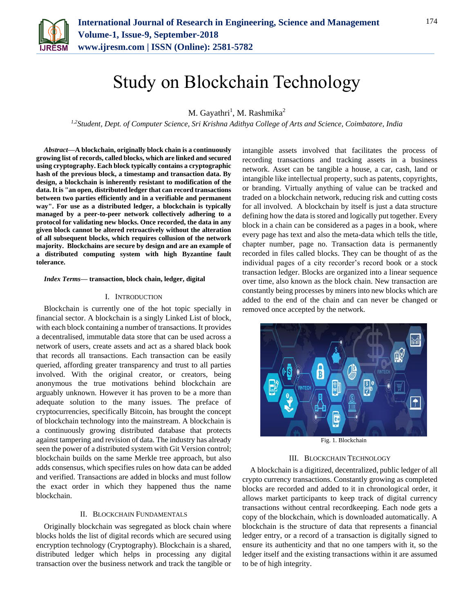

# Study on Blockchain Technology

M. Gayathri<sup>1</sup>, M. Rashmika<sup>2</sup>

*1,2Student, Dept. of Computer Science, Sri Krishna Adithya College of Arts and Science, Coimbatore, India*

*Abstract***—A blockchain, originally block chain is a continuously growing list of records, called blocks, which are linked and secured using cryptography. Each block typically contains a cryptographic hash of the previous block, a timestamp and transaction data. By design, a blockchain is inherently resistant to modification of the data. It is "an open, distributed ledger that can record transactions between two parties efficiently and in a verifiable and permanent way". For use as a distributed ledger, a blockchain is typically managed by a peer-to-peer network collectively adhering to a protocol for validating new blocks. Once recorded, the data in any given block cannot be altered retroactively without the alteration of all subsequent blocks, which requires collusion of the network majority. Blockchains are secure by design and are an example of a distributed computing system with high Byzantine fault tolerance.**

#### *Index Terms***— transaction, block chain, ledger, digital**

#### I. INTRODUCTION

Blockchain is currently one of the hot topic specially in financial sector. A blockchain is a singly Linked List of block, with each block containing a number of transactions. It provides a decentralised, immutable data store that can be used across a network of users, create assets and act as a shared black book that records all transactions. Each transaction can be easily queried, affording greater transparency and trust to all parties involved. With the original creator, or creators, being anonymous the true motivations behind blockchain are arguably unknown. However it has proven to be a more than adequate solution to the many issues. The preface of cryptocurrencies, specifically Bitcoin, has brought the concept of blockchain technology into the mainstream. A blockchain is a continuously growing distributed database that protects against tampering and revision of data. The industry has already seen the power of a distributed system with Git Version control; blockchain builds on the same Merkle tree approach, but also adds consensus, which specifies rules on how data can be added and verified. Transactions are added in blocks and must follow the exact order in which they happened thus the name blockchain.

### II. BLOCKCHAIN FUNDAMENTALS

Originally blockchain was segregated as block chain where blocks holds the list of digital records which are secured using encryption technology (Cryptography). Blockchain is a shared, distributed ledger which helps in processing any digital transaction over the business network and track the tangible or intangible assets involved that facilitates the process of recording transactions and tracking assets in a business network. Asset can be tangible a house, a car, cash, land or intangible like intellectual property, such as patents, copyrights, or branding. Virtually anything of value can be tracked and traded on a blockchain network, reducing risk and cutting costs for all involved. A blockchain by itself is just a data structure defining how the data is stored and logically put together. Every block in a chain can be considered as a pages in a book, where every page has text and also the meta-data which tells the title, chapter number, page no. Transaction data is permanently recorded in files called blocks. They can be thought of as the individual pages of a city recorder's record book or a stock transaction ledger. Blocks are organized into a linear sequence over time, also known as the block chain. New transaction are constantly being processes by miners into new blocks which are added to the end of the chain and can never be changed or removed once accepted by the network.



Fig. 1. Blockchain

### III. BLOCKCHAIN TECHNOLOGY

A blockchain is a digitized, decentralized, public ledger of all crypto currency transactions. Constantly growing as completed blocks are recorded and added to it in chronological order, it allows market participants to keep track of digital currency transactions without central recordkeeping. Each node gets a copy of the blockchain, which is downloaded automatically. A blockchain is the structure of data that represents a financial ledger entry, or a record of a transaction is digitally signed to ensure its authenticity and that no one tampers with it, so the ledger itself and the existing transactions within it are assumed to be of high integrity.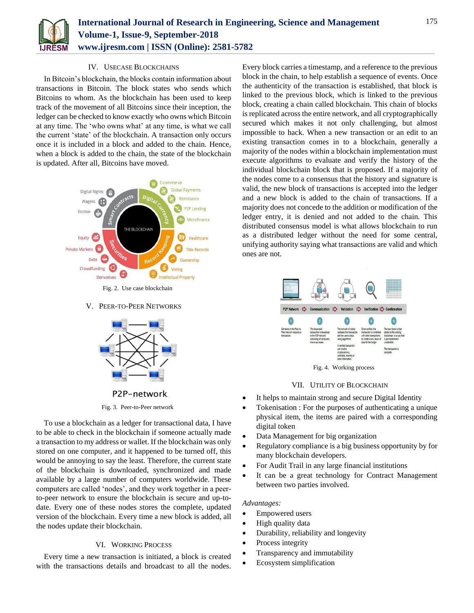

# IV. USECASE BLOCKCHAINS

In Bitcoin's blockchain, the blocks contain information about transactions in Bitcoin. The block states who sends which Bitcoins to whom. As the blockchain has been used to keep track of the movement of all Bitcoins since their inception, the ledger can be checked to know exactly who owns which Bitcoin at any time. The 'who owns what' at any time, is what we call the current 'state' of the blockchain. A transaction only occurs once it is included in a block and added to the chain. Hence, when a block is added to the chain, the state of the blockchain is updated. After all, Bitcoins have moved.



Fig. 2. Use case blockchain

V. PEER-TO-PEER NETWORKS



P2P-network

## Fig. 3. Peer-to-Peer network

To use a blockchain as a ledger for transactional data, I have to be able to check in the blockchain if someone actually made a transaction to my address or wallet. If the blockchain was only stored on one computer, and it happened to be turned off, this would be annoying to say the least. Therefore, the current state of the blockchain is downloaded, synchronized and made available by a large number of computers worldwide. These computers are called 'nodes', and they work together in a peerto-peer network to ensure the blockchain is secure and up-todate. Every one of these nodes stores the complete, updated version of the blockchain. Every time a new block is added, all the nodes update their blockchain.

## VI. WORKING PROCESS

Every time a new transaction is initiated, a block is created with the transactions details and broadcast to all the nodes.

Every block carries a timestamp, and a reference to the previous block in the chain, to help establish a sequence of events. Once the authenticity of the transaction is established, that block is linked to the previous block, which is linked to the previous block, creating a chain called blockchain. This chain of blocks is replicated across the entire network, and all cryptographically secured which makes it not only challenging, but almost impossible to hack. When a new transaction or an edit to an existing transaction comes in to a blockchain, generally a majority of the nodes within a blockchain implementation must execute algorithms to evaluate and verify the history of the individual blockchain block that is proposed. If a majority of the nodes come to a consensus that the history and signature is valid, the new block of transactions is accepted into the ledger and a new block is added to the chain of transactions. If a majority does not concede to the addition or modification of the ledger entry, it is denied and not added to the chain. This distributed consensus model is what allows blockchain to run as a distributed ledger without the need for some central, unifying authority saying what transactions are valid and which ones are not.



Fig. 4. Working process

#### VII. UTILITY OF BLOCKCHAIN

- It helps to maintain strong and secure Digital Identity
- Tokenisation : For the purposes of authenticating a unique physical item, the items are paired with a corresponding digital token
- Data Management for big organization
- Regulatory compliance is a big business opportunity by for many blockchain developers.
- For Audit Trail in any large financial institutions
- It can be a great technology for Contract Management between two parties involved.

#### *Advantages:*

- Empowered users
- High quality data
- Durability, reliability and longevity
- Process integrity
- Transparency and immutability
- Ecosystem simplification